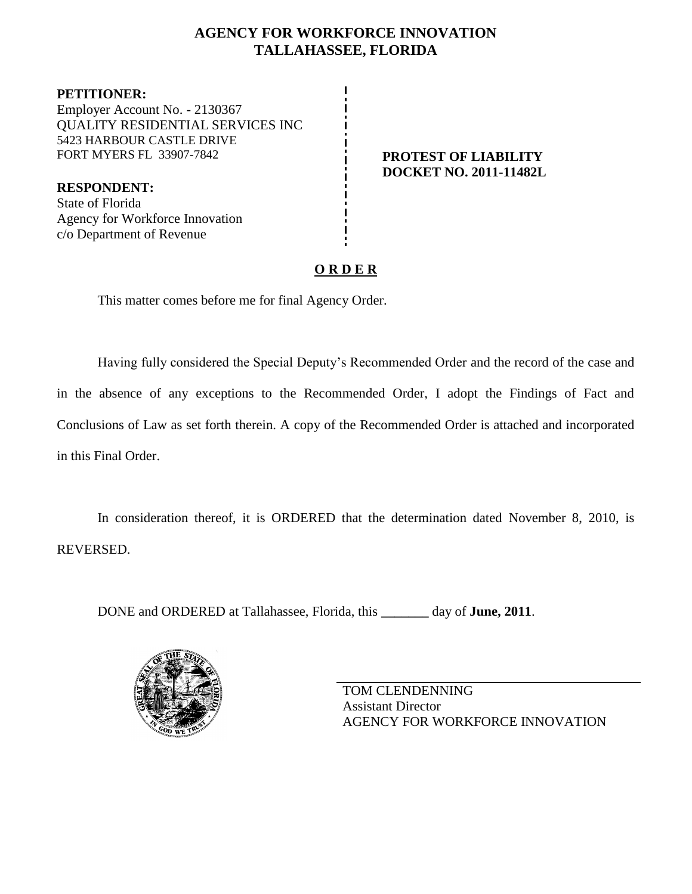# **AGENCY FOR WORKFORCE INNOVATION TALLAHASSEE, FLORIDA**

**PETITIONER:** Employer Account No. - 2130367 QUALITY RESIDENTIAL SERVICES INC 5423 HARBOUR CASTLE DRIVE FORT MYERS FL 33907-7842 **PROTEST OF LIABILITY**

**DOCKET NO. 2011-11482L**

**RESPONDENT:** State of Florida Agency for Workforce Innovation c/o Department of Revenue

# **O R D E R**

This matter comes before me for final Agency Order.

Having fully considered the Special Deputy's Recommended Order and the record of the case and in the absence of any exceptions to the Recommended Order, I adopt the Findings of Fact and Conclusions of Law as set forth therein. A copy of the Recommended Order is attached and incorporated in this Final Order.

In consideration thereof, it is ORDERED that the determination dated November 8, 2010, is REVERSED.

DONE and ORDERED at Tallahassee, Florida, this **\_\_\_\_\_\_\_** day of **June, 2011**.



TOM CLENDENNING Assistant Director AGENCY FOR WORKFORCE INNOVATION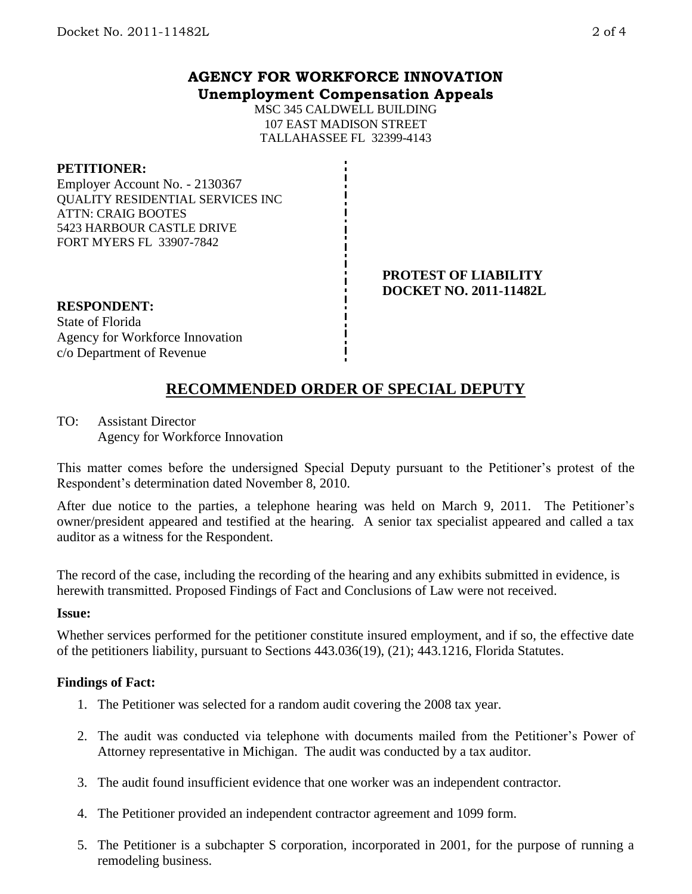## **AGENCY FOR WORKFORCE INNOVATION Unemployment Compensation Appeals**

MSC 345 CALDWELL BUILDING 107 EAST MADISON STREET TALLAHASSEE FL 32399-4143

### **PETITIONER:**

Employer Account No. - 2130367 QUALITY RESIDENTIAL SERVICES INC ATTN: CRAIG BOOTES 5423 HARBOUR CASTLE DRIVE FORT MYERS FL 33907-7842

#### **PROTEST OF LIABILITY DOCKET NO. 2011-11482L**

# **RESPONDENT:** State of Florida

Agency for Workforce Innovation c/o Department of Revenue

# **RECOMMENDED ORDER OF SPECIAL DEPUTY**

TO: Assistant Director Agency for Workforce Innovation

This matter comes before the undersigned Special Deputy pursuant to the Petitioner's protest of the Respondent's determination dated November 8, 2010.

After due notice to the parties, a telephone hearing was held on March 9, 2011. The Petitioner's owner/president appeared and testified at the hearing. A senior tax specialist appeared and called a tax auditor as a witness for the Respondent.

The record of the case, including the recording of the hearing and any exhibits submitted in evidence, is herewith transmitted. Proposed Findings of Fact and Conclusions of Law were not received.

### **Issue:**

Whether services performed for the petitioner constitute insured employment, and if so, the effective date of the petitioners liability, pursuant to Sections 443.036(19), (21); 443.1216, Florida Statutes.

## **Findings of Fact:**

- 1. The Petitioner was selected for a random audit covering the 2008 tax year.
- 2. The audit was conducted via telephone with documents mailed from the Petitioner's Power of Attorney representative in Michigan. The audit was conducted by a tax auditor.
- 3. The audit found insufficient evidence that one worker was an independent contractor.
- 4. The Petitioner provided an independent contractor agreement and 1099 form.
- 5. The Petitioner is a subchapter S corporation, incorporated in 2001, for the purpose of running a remodeling business.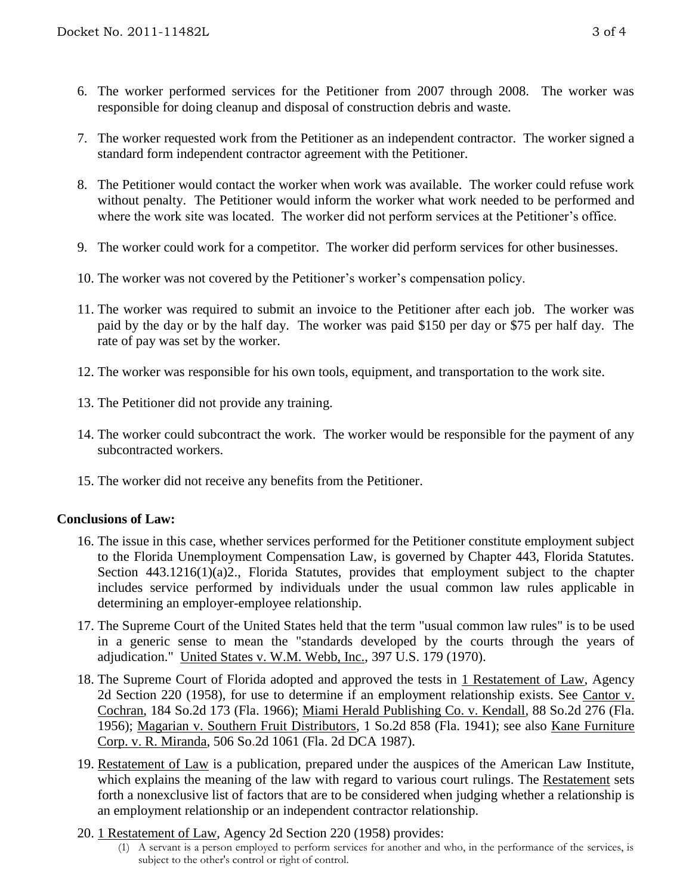- 6. The worker performed services for the Petitioner from 2007 through 2008. The worker was responsible for doing cleanup and disposal of construction debris and waste.
- 7. The worker requested work from the Petitioner as an independent contractor. The worker signed a standard form independent contractor agreement with the Petitioner.
- 8. The Petitioner would contact the worker when work was available. The worker could refuse work without penalty. The Petitioner would inform the worker what work needed to be performed and where the work site was located. The worker did not perform services at the Petitioner's office.
- 9. The worker could work for a competitor. The worker did perform services for other businesses.
- 10. The worker was not covered by the Petitioner's worker's compensation policy.
- 11. The worker was required to submit an invoice to the Petitioner after each job. The worker was paid by the day or by the half day. The worker was paid \$150 per day or \$75 per half day. The rate of pay was set by the worker.
- 12. The worker was responsible for his own tools, equipment, and transportation to the work site.
- 13. The Petitioner did not provide any training.
- 14. The worker could subcontract the work. The worker would be responsible for the payment of any subcontracted workers.
- 15. The worker did not receive any benefits from the Petitioner.

## **Conclusions of Law:**

- 16. The issue in this case, whether services performed for the Petitioner constitute employment subject to the Florida Unemployment Compensation Law, is governed by Chapter 443, Florida Statutes. Section 443.1216(1)(a)2., Florida Statutes, provides that employment subject to the chapter includes service performed by individuals under the usual common law rules applicable in determining an employer-employee relationship.
- 17. The Supreme Court of the United States held that the term "usual common law rules" is to be used in a generic sense to mean the "standards developed by the courts through the years of adjudication." United States v. W.M. Webb, Inc., 397 U.S. 179 (1970).
- 18. The Supreme Court of Florida adopted and approved the tests in 1 Restatement of Law, Agency 2d Section 220 (1958), for use to determine if an employment relationship exists. See Cantor v. Cochran, 184 So.2d 173 (Fla. 1966); Miami Herald Publishing Co. v. Kendall, 88 So.2d 276 (Fla. 1956); Magarian v. Southern Fruit Distributors, 1 So.2d 858 (Fla. 1941); see also Kane Furniture Corp. v. R. Miranda, 506 So.2d 1061 (Fla. 2d DCA 1987).
- 19. Restatement of Law is a publication, prepared under the auspices of the American Law Institute, which explains the meaning of the law with regard to various court rulings. The Restatement sets forth a nonexclusive list of factors that are to be considered when judging whether a relationship is an employment relationship or an independent contractor relationship.
- 20. 1 Restatement of Law, Agency 2d Section 220 (1958) provides:
	- (1) A servant is a person employed to perform services for another and who, in the performance of the services, is subject to the other's control or right of control.